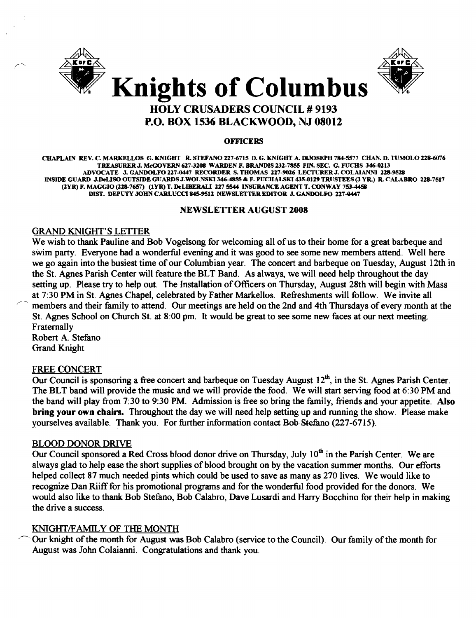



#### **OFFICERS**

CHAPLAIN REV. C. MARKELLOS G. KNIGHT R. STEFANO 227-6715 D. G. KNIGHT A. DlJOSEPH 784-5577 CHAN. D. TUMOLO 228-6076 TREASURER J. McGOVERN 627-3208 WARDEN F. BRANDIS 232-7855 FIN. SEC. G. FUCHS 346-0213 ADVOCATE J. GANDOLFO 227-0447 RECORDER S. THOMAS 227-9026 LECfURER J. COLAIANNI 228-9528 INSIDE GUARD J.DeLISO OUTSIDE GUARDS J.WOLNSKI 346-4855 & F. PUCHALSKI 435-0129 TRUSTEES (3 YR.) R. CALABRO 228-7517 (2YR) F. MAGGIO (228-7657) (1YR) T. DeLIBERALI 227 5544 INSURANCE AGENT T. CONWAY 753-4458 DIST. DEPUTY JOHN CARLUCCI 845-9512 NEWSLETTER EDITOR J. GANDOLFO 227-0447

### NEWSLETTER AUGUST 2008

## GRAND KNIGHT'S LETTER

We wish to thank Pauline and Bob Vogelsong for welcoming all of us to their home for a great barbeque and swim party. Everyone had a wonderful evening and it was good to see some new members attend. Well here we go again into the busiest time of our Columbian year. The concert and barbeque on Tuesday, August 12th in the St. Agnes Parish Center will feature the BLT Band. As always, we will need help throughout the day setting up. Please try to help out. The Installation of Officers on Thursday, August 28th will begin with Mass at 7:30 PM in St. Agnes Chapel, celebrated by Father Markellos. Refreshments will follow. We invite all members and their family to attend. Our meetings are held on the 2nd and 4th Thursdays of every month at the St. Agnes School on Church St. at 8:00 pm. It would be great to see some new faces at our next meeting. Fraternally

Robert A. Stefano Grand Knight

## FREE CONCERT

Our Council is sponsoring a free concert and barbeque on Tuesday August  $12<sup>th</sup>$ , in the St. Agnes Parish Center. The BLT band will provide the music and we will provide the food. We will start serving food at 6:30 PM and the band will play from 7:30 to 9:30 PM. Admission is free so bring the family, friends and your appetite. Also bring your own chairs. Throughout the day we will need help setting up and running the show. Please make yourselves available. Thank you. For further information contact Bob Stefano (227~6715).

### BLOOD DONOR DRIVE

Our Council sponsored a Red Cross blood donor drive on Thursday, July  $10^{th}$  in the Parish Center. We are always glad to help ease the short supplies of blood brought on by the vacation summer months. Our efforts helped collect 87 much needed pints which could be used to save as many as 270 lives. We would like to recognize Dan Riiff for his promotional programs and for the wonderful food provided for the donors. We would also like to thank Bob Stefano, Bob Calabro, Dave Lusardi and Harry Bocchino for their help in making the drive a success.

## KNIGHT/FAMILY OF THE MONTH

Our knight of the month for August was Bob Calabro (service to the Council). Our family of the month for August was John Colaianni. Congratulations and thank you.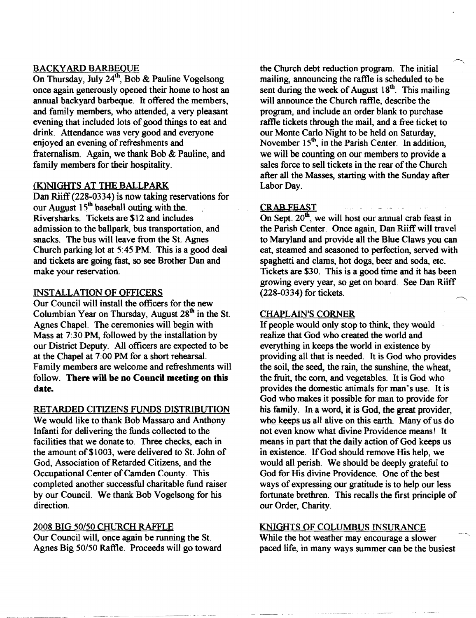## **BACKYARD BARBEQUE**

On Thursday, July 24<sup>th</sup>, Bob & Pauline Vogelsong once again generously opened their home to host an annual backyard barbeque. It offered the members, and family members, who attended, a very pleasant evening that included lots of good things to eat and drink. Attendance was very good and everyone enjoyed an evening of refreshments and fraternalism. Again, we thank Bob & Pauline, and family members for their hospitality.

# (K)NIGHTS AT THE BALLPARK

Dan Riiff (228-0334) is now taking reservations for our August  $15<sup>th</sup>$  baseball outing with the. Riversharks. Tickets are \$12 and includes admission to the ballpark, bus transportation, and snacks. The bus will leave from the St. Agnes Church parking lot at 5:45 PM. This is a good deal and tickets are going fast, so see Brother Dan and make your reservation.

## INSTALLATION OF OFFICERS

Our Council will install the officers for the new Columbian Year on Thursday, August  $28<sup>th</sup>$  in the St. Agnes Chapel. The ceremonies will begin with Mass at 7:30 PM, followed by the installation by our District Deputy. All officers are expected to be at the Chapel at 7:00 PM for a short rehearsal. Family members are welcome and refreshments will follow. There will be no Council meeting on this date.

## RETARDED CITIZENS FUNDS DISTRIBUTION

We would like to thank Bob Massaro and Anthony Infanti for delivering the funds collected to the facilities that we donate to. Three checks, each in the amount of \$1003, were delivered to St. John of God, Association of Retarded Citizens, and the Occupational Center of Camden County. This completed another successful charitable fund raiser by our Council. We thank Bob Vogelsong for his direction.

## 2008 BIG 50/50 CHURCH RAFFLE

Our Council will, once again be running the St. Agnes Big 50/50 Raffle. Proceeds will go toward

the Church debt reduction program. The initial mailing, announcing the raffle is scheduled to be sent during the week of August  $18<sup>th</sup>$ . This mailing will announce the Church raffle, describe the program, and include an order blank to purchase raffle tickets through the mail, and a free ticket to our Monte Carlo Night to be held on Saturday, November  $15<sup>th</sup>$ , in the Parish Center. In addition, we will be counting on our members to provide a sales force to sell tickets in the rear of the Church after all the Masses, starting with the Sunday after Labor Day.

## CRAB FEAST

On Sept.  $20^{th}$ , we will host our annual crab feast in the Parish Center. Once again, Dan Riiff will travel to Maryland and provide all the Blue Claws you can eat, steamed and seasoned to perfection, served with spaghetti and clams, hot dogs, beer and soda, etc. Tickets are \$30. This is a good time and it has been growing every year, so get on board. See Dan Riiff (228-0334) for tickets.

## CHAPLAIN'S CORNER

If people would only stop to think, they would realize that God who created the world and everything in keeps the world in existence by providing all that is needed. It is God who provides the soil, the seed, the rain, the sunshine, the wheat, the fruit, the corn, and vegetables. It is God who provides the domestic animals for man's use. It is God who makes it possible for man to provide for his family. In a word, it is God, the great provider, who keeps us all alive on this earth. Many of us do not even know what divine Providence means! It means in part that the daily action of God keeps us in existence. If God should remove His help, we would all perish. We should be deeply grateful to God for His divine Providence. One of the best ways of expressing our gratitude is to help our less fortunate brethren. This recalls the first principle of our Order, Charity.

## KNIGHTS OF COLUMBUS INSURANCE

While the hot weather may encourage a slower paced life, in many ways summer can be the busiest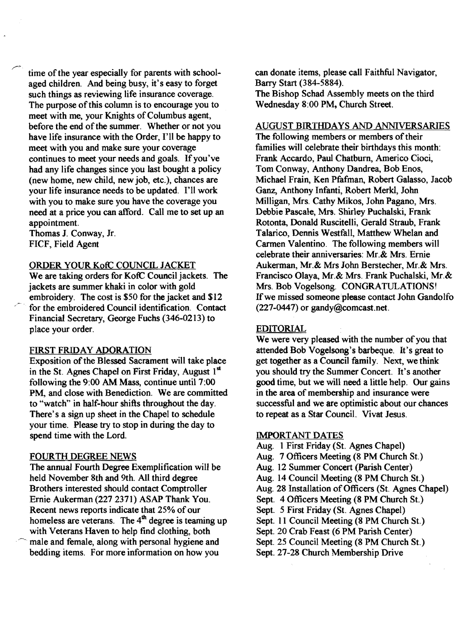time of the year especially for parents with schoolaged children. And being busy, it's easy to forget such things as reviewing life insurance coverage. The purpose of this column is to encourage you to meet with me, your Knights of Columbus agent, before the end of the summer. Whether or not you have life insurance with the Order, I'll be happy to meet with you and make sure your coverage continues to meet your needs and goals. If you've had any life changes since you last bought a policy (new home, new child, new job, etc.), chances are your life insurance needs to be updated. I'll work with you to make sure you have the coverage you need at a price you can afford. Call me to set up an appointment.

Thomas J. Conway, Jr. FICF, Field Agent

.<br>مسر

### ORDER YOUR KofC CODNCR. JACKET

We are taking orders for KofC Council jackets. The jackets are summer khaki in color with gold embroidery. The cost is \$50 for the jacket and \$12 for the embroidered Council identification. Contact Financial Secretary, George Fuchs (346-0213) to place your order.

### FIRST FRIDAY ADORATION

Exposition of the Blessed Sacrament will take place in the St. Agnes Chapel on First Friday, August 1st following the 9:00 AM Mass, continue until 7:00 PM, and close with Benediction. We are committed to "watch" in half-hour shifts throughout the day. There's a sign up sheet in the Chapel to schedule your time. Please try to stop in during the day to spend time with the Lord.

## FOURTH DEGREE NEWS

The annual Fourth Degree Exemplification will be held November 8th and 9th. All third degree Brothers interested should contact Comptroller Ernie Aukerman (2272371) ASAP Thank You. Recent news reports indicate that 25% of our homeless are veterans. The  $4<sup>m</sup>$  degree is teaming up with Veterans Haven to help find clothing, both male and female, along with personal hygiene and bedding items. For more information on how you

can donate items, please call Faithful Navigator, Barry Start (384-5884). The Bishop Schad Assembly meets on the third Wednesday 8:00 PM, Church Street.

### AUGUST BIRTHDAYS AND ANNIVERSARIES

The following members or members of their families will celebrate their birthdays this month: Frank Accardo, Paul Chatburn, Americo Cioci, Tom Conway, Anthony Dandrea, Bob Enos, Michael Frain, Ken Pfafman, Robert Galasso, Jacob Ganz, Anthony Infanti, Robert Merkt, John Milligan, Mrs. Cathy Mikos, John Pagano, Mrs. Debbie Pascale, Mrs. Shirley Puchalski, Frank Rotonta, Donald Ruscitelli, Gerald Straub, Frank Talarico, Dennis Westfall, Matthew Whelan and Carmen Valentino. The following members will celebrate their anniversaries: Mr.& Mrs. Ernie Aukerman, Mr.& Mrs John Berstecher, Mr.& Mrs. Francisco Olaya, Mr.& Mrs. Frank Puchalski, Mr.& Mrs. Bob Vogelsong. CONGRATULATIONS! If we missed someone please contact John Gandolfo (227-0447) or gandy@comcast.net.

### EDITORIAL

We were very pleased with the number of you that attended Bob Vogelsong's barbeque. It's great to get together as a Council family. Next, we think you should try the Summer Concert. It's another good time, but we will need a little help. Our gains in the area of membership and insurance were successful and we are optimistic about our chances to repeat as a Star Council. Vivat Jesus.

#### IMPORTANT DATES

- Aug. 1 First Friday (St. Agnes Chapel)
- Aug. 7 Officers Meeting (8 PM Church St.)
- Aug. 12 Summer Concert (parish Center)
- Aug. 14 Council Meeting (8 PM Church St.)
- Aug. 28 Installation of Officers (St. Agnes Chapel)
- Sept. 4 Officers Meeting (8 PM Church St.)
- Sept. 5 First Friday (St. Agnes Chapel)
- Sept. 11 Council Meeting (8 PM Church St.)
- Sept. 20 Crab Feast (6 PM Parish Center)
- Sept. 25 Council Meeting (8 PM Church St.)
- Sept. 27-28 Church Membership Drive